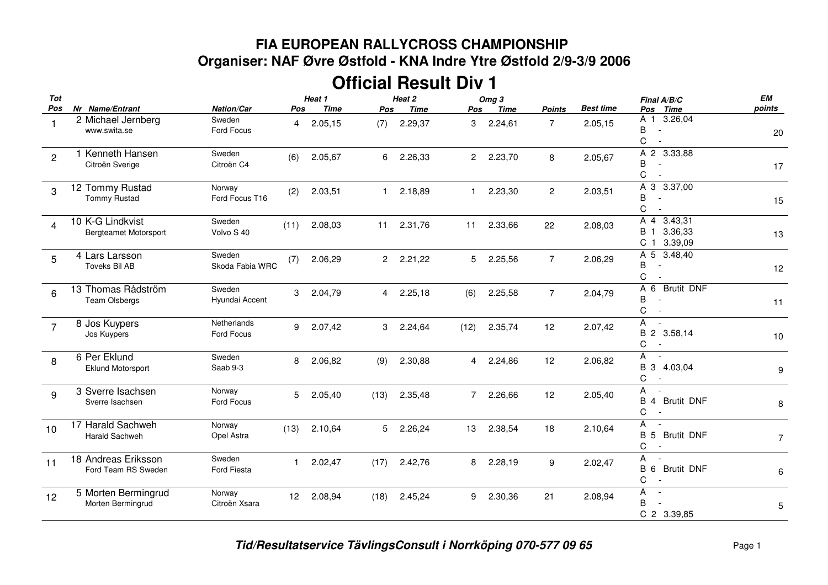## **FIA EUROPEAN RALLYCROSS CHAMPIONSHIP Organiser: NAF Øvre Østfold - KNA Indre Ytre Østfold 2/9-3/9 2006**

## **Official Result Div 1**

| Tot            |                                                  |                           |              | Heat 1      |                | Heat 2      |                | Omg <sub>3</sub> |                |                  | Final A/B/C                                                                                       | EM             |
|----------------|--------------------------------------------------|---------------------------|--------------|-------------|----------------|-------------|----------------|------------------|----------------|------------------|---------------------------------------------------------------------------------------------------|----------------|
| Pos            | Nr Name/Entrant                                  | <b>Nation/Car</b>         | Pos          | <b>Time</b> | Pos            | <b>Time</b> | Pos            | Time             | <b>Points</b>  | <b>Best time</b> | Pos Time                                                                                          | points         |
|                | 2 Michael Jernberg<br>www.swita.se               | Sweden<br>Ford Focus      | 4            | 2.05,15     | (7)            | 2.29,37     | 3              | 2.24,61          | $\overline{7}$ | 2.05,15          | A 1 3.26,04<br>B<br>$\sim$<br>C                                                                   | 20             |
| $\overline{c}$ | 1 Kenneth Hansen<br>Citroën Sverige              | Sweden<br>Citroën C4      | (6)          | 2.05,67     |                | 6 2.26,33   |                | 2 2.23,70        | 8              | 2.05,67          | A 2 3.33,88<br>B<br>С                                                                             | 17             |
| 3              | 12 Tommy Rustad<br><b>Tommy Rustad</b>           | Norway<br>Ford Focus T16  | (2)          | 2.03,51     | $\mathbf{1}$   | 2.18,89     | $\mathbf{1}$   | 2.23,30          | $\overline{2}$ | 2.03,51          | A 3 3.37,00<br>В<br>C                                                                             | 15             |
| $\overline{4}$ | 10 K-G Lindkvist<br><b>Bergteamet Motorsport</b> | Sweden<br>Volvo S 40      | (11)         | 2.08,03     | 11             | 2.31,76     | 11             | 2.33,66          | 22             | 2.08,03          | 3.43,31<br>A 4<br>3.36,33<br><b>B</b> 1<br>C <sub>1</sub><br>3.39,09                              | 13             |
| 5              | 4 Lars Larsson<br>Toveks Bil AB                  | Sweden<br>Skoda Fabia WRC | (7)          | 2.06,29     |                | 2 2.21,22   | 5              | 2.25,56          | $\overline{7}$ | 2.06,29          | A 5<br>3.48,40<br>B<br>$\overline{\phantom{a}}$<br>C<br>$\overline{a}$                            | 12             |
| 6              | 13 Thomas Rådström<br><b>Team Olsbergs</b>       | Sweden<br>Hyundai Accent  | 3            | 2.04,79     |                | 4 2.25,18   | (6)            | 2.25,58          | $\overline{7}$ | 2.04,79          | A 6<br><b>Brutit DNF</b><br>B<br>L.<br>C<br>$\sim$                                                | 11             |
| $\overline{7}$ | 8 Jos Kuypers<br>Jos Kuypers                     | Netherlands<br>Ford Focus | 9            | 2.07,42     | 3              | 2.24,64     | (12)           | 2.35,74          | 12             | 2.07,42          | A<br>$\sim$<br>B 2 3.58,14<br>C<br>$\overline{\phantom{a}}$                                       | 10             |
| 8              | 6 Per Eklund<br><b>Eklund Motorsport</b>         | Sweden<br>Saab 9-3        | 8            | 2.06,82     | (9)            | 2.30,88     | 4              | 2.24,86          | 12             | 2.06,82          | A<br>$\sim$<br>B 3 4.03,04<br>С                                                                   | 9              |
| 9              | 3 Sverre Isachsen<br>Sverre Isachsen             | Norway<br>Ford Focus      | 5            | 2.05,40     | (13)           | 2.35,48     | $\overline{7}$ | 2.26,66          | 12             | 2.05,40          | A<br><b>B</b> 4 Brutit DNF<br>С                                                                   | 8              |
| 10             | 17 Harald Sachweh<br>Harald Sachweh              | Norway<br>Opel Astra      | (13)         | 2.10,64     | 5 <sub>5</sub> | 2.26,24     | 13             | 2.38,54          | 18             | 2.10,64          | A<br><b>Brutit DNF</b><br><b>B</b> 5<br>C<br>$\sim$                                               | $\overline{7}$ |
| 11             | 18 Andreas Eriksson<br>Ford Team RS Sweden       | Sweden<br>Ford Fiesta     | $\mathbf{1}$ | 2.02,47     | (17)           | 2.42,76     | 8              | 2.28,19          | 9              | 2.02,47          | A<br>$\overline{\phantom{a}}$<br><b>Brutit DNF</b><br><b>B</b> 6<br>С<br>$\overline{\phantom{a}}$ | 6              |
| 12             | 5 Morten Bermingrud<br>Morten Bermingrud         | Norway<br>Citroën Xsara   | 12           | 2.08,94     | (18)           | 2.45,24     | 9              | 2.30,36          | 21             | 2.08,94          | A<br>$\overline{\phantom{a}}$<br>B<br>C 2 3.39,85                                                 | 5              |
|                |                                                  |                           |              |             |                |             |                |                  |                |                  |                                                                                                   |                |

*Tid/Resultatservice TävlingsConsult i Norrköping 070-577 09 65* Page <sup>1</sup>